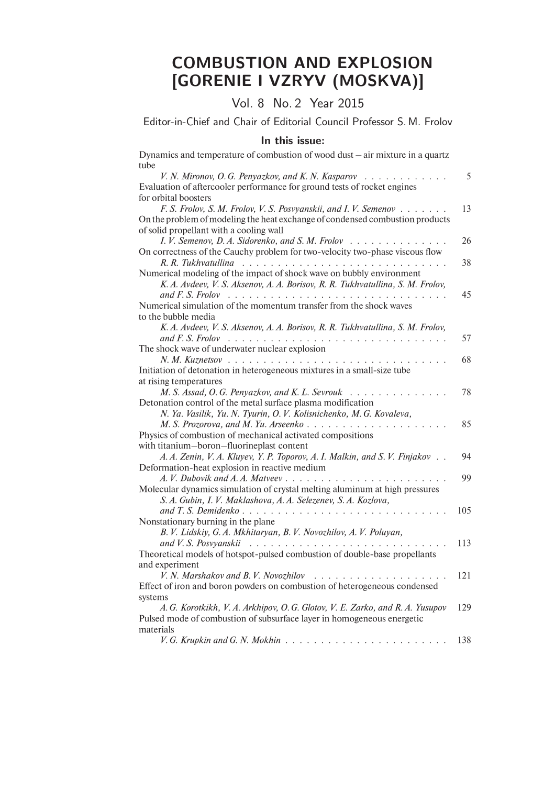## COMBUSTION AND EXPLOSION [GORENIE I VZRYV (MOSKVA)]

## Vol. 8 No. 2 Year 2015

Editor-in-Chief and Chair of Editorial Council Professor S. M. Frolov

## In this issue:

| Dynamics and temperature of combustion of wood dust $-$ air mixture in a quartz                                                                                                                                                                                                                                                                                                                                                                                                    |     |
|------------------------------------------------------------------------------------------------------------------------------------------------------------------------------------------------------------------------------------------------------------------------------------------------------------------------------------------------------------------------------------------------------------------------------------------------------------------------------------|-----|
| tube                                                                                                                                                                                                                                                                                                                                                                                                                                                                               |     |
| V. N. Mironov, O. G. Penyazkov, and K. N. Kasparov<br>$\begin{array}{cccccccccccccccccc} . & . & . & . & . & . & . & . & . & . & . & . & . \end{array}$                                                                                                                                                                                                                                                                                                                            | 5   |
| Evaluation of aftercooler performance for ground tests of rocket engines                                                                                                                                                                                                                                                                                                                                                                                                           |     |
| for orbital boosters                                                                                                                                                                                                                                                                                                                                                                                                                                                               |     |
| F. S. Frolov, S. M. Frolov, V. S. Posvyanskii, and I. V. Semenov                                                                                                                                                                                                                                                                                                                                                                                                                   | 13  |
| On the problem of modeling the heat exchange of condensed combustion products                                                                                                                                                                                                                                                                                                                                                                                                      |     |
| of solid propellant with a cooling wall                                                                                                                                                                                                                                                                                                                                                                                                                                            |     |
| I. V. Semenov, D. A. Sidorenko, and S. M. Frolov                                                                                                                                                                                                                                                                                                                                                                                                                                   | 26  |
| On correctness of the Cauchy problem for two-velocity two-phase viscous flow                                                                                                                                                                                                                                                                                                                                                                                                       |     |
| R. R. Tukhvatullina                                                                                                                                                                                                                                                                                                                                                                                                                                                                | 38  |
| Numerical modeling of the impact of shock wave on bubbly environment                                                                                                                                                                                                                                                                                                                                                                                                               |     |
| K. A. Avdeev, V. S. Aksenov, A. A. Borisov, R. R. Tukhvatullina, S. M. Frolov,                                                                                                                                                                                                                                                                                                                                                                                                     |     |
| and F. S. Frolov                                                                                                                                                                                                                                                                                                                                                                                                                                                                   | 45  |
| Numerical simulation of the momentum transfer from the shock waves                                                                                                                                                                                                                                                                                                                                                                                                                 |     |
| to the bubble media                                                                                                                                                                                                                                                                                                                                                                                                                                                                |     |
| K. A. Avdeev, V. S. Aksenov, A. A. Borisov, R. R. Tukhvatullina, S. M. Frolov,                                                                                                                                                                                                                                                                                                                                                                                                     |     |
|                                                                                                                                                                                                                                                                                                                                                                                                                                                                                    | 57  |
| The shock wave of underwater nuclear explosion                                                                                                                                                                                                                                                                                                                                                                                                                                     |     |
| $N. M.$ Kuznetsov, $\ldots$ , $\ldots$ , $\ldots$ , $\ldots$ , $\ldots$ , $\ldots$ , $\ldots$<br>$\sim$ $\sim$ $\sim$ $\sim$ $\sim$                                                                                                                                                                                                                                                                                                                                                | 68  |
| Initiation of detonation in heterogeneous mixtures in a small-size tube                                                                                                                                                                                                                                                                                                                                                                                                            |     |
| at rising temperatures                                                                                                                                                                                                                                                                                                                                                                                                                                                             |     |
| M. S. Assad, O. G. Penyazkov, and K. L. Sevrouk                                                                                                                                                                                                                                                                                                                                                                                                                                    | 78  |
| Detonation control of the metal surface plasma modification                                                                                                                                                                                                                                                                                                                                                                                                                        |     |
| N. Ya. Vasilik, Yu. N. Tyurin, O. V. Kolisnichenko, M. G. Kovaleva,                                                                                                                                                                                                                                                                                                                                                                                                                |     |
| M. S. Prozorova, and M. Yu. Arseenko                                                                                                                                                                                                                                                                                                                                                                                                                                               | 85  |
| Physics of combustion of mechanical activated compositions                                                                                                                                                                                                                                                                                                                                                                                                                         |     |
| with titanium-boron-fluorineplast content                                                                                                                                                                                                                                                                                                                                                                                                                                          |     |
| A. A. Zenin, V. A. Kluyev, Y. P. Toporov, A. I. Malkin, and S. V. Finjakov.                                                                                                                                                                                                                                                                                                                                                                                                        | 94  |
| Deformation-heat explosion in reactive medium                                                                                                                                                                                                                                                                                                                                                                                                                                      |     |
|                                                                                                                                                                                                                                                                                                                                                                                                                                                                                    | 99  |
| Molecular dynamics simulation of crystal melting aluminum at high pressures                                                                                                                                                                                                                                                                                                                                                                                                        |     |
| S. A. Gubin, I. V. Maklashova, A. A. Selezenev, S. A. Kozlova,                                                                                                                                                                                                                                                                                                                                                                                                                     |     |
|                                                                                                                                                                                                                                                                                                                                                                                                                                                                                    | 105 |
| Nonstationary burning in the plane                                                                                                                                                                                                                                                                                                                                                                                                                                                 |     |
| B. V. Lidskiy, G. A. Mkhitaryan, B. V. Novozhilov, A. V. Poluyan,                                                                                                                                                                                                                                                                                                                                                                                                                  |     |
| and V. S. Posvyanskii<br>$\mathcal{L}^{\mathcal{A}}(\mathcal{A}^{\mathcal{A}}(\mathcal{A}^{\mathcal{A}}(\mathcal{A}^{\mathcal{A}}(\mathcal{A}^{\mathcal{A}}(\mathcal{A}^{\mathcal{A}}(\mathcal{A}^{\mathcal{A}}(\mathcal{A}^{\mathcal{A}}(\mathcal{A}^{\mathcal{A}}(\mathcal{A}^{\mathcal{A}}(\mathcal{A}^{\mathcal{A}}(\mathcal{A}^{\mathcal{A}}(\mathcal{A}^{\mathcal{A}}(\mathcal{A}^{\mathcal{A}}(\mathcal{A}^{\mathcal{A}}(\mathcal{A}^{\mathcal{A}}(\mathcal{A}^{\mathcal{A$ | 113 |
| Theoretical models of hotspot-pulsed combustion of double-base propellants                                                                                                                                                                                                                                                                                                                                                                                                         |     |
| and experiment                                                                                                                                                                                                                                                                                                                                                                                                                                                                     |     |
| V. N. Marshakov and B. V. Novozhilov                                                                                                                                                                                                                                                                                                                                                                                                                                               | 121 |
| Effect of iron and boron powders on combustion of heterogeneous condensed                                                                                                                                                                                                                                                                                                                                                                                                          |     |
| systems                                                                                                                                                                                                                                                                                                                                                                                                                                                                            |     |
| A. G. Korotkikh, V. A. Arkhipov, O. G. Glotov, V. E. Zarko, and R. A. Yusupov                                                                                                                                                                                                                                                                                                                                                                                                      | 129 |
| Pulsed mode of combustion of subsurface layer in homogeneous energetic                                                                                                                                                                                                                                                                                                                                                                                                             |     |
| materials                                                                                                                                                                                                                                                                                                                                                                                                                                                                          |     |
|                                                                                                                                                                                                                                                                                                                                                                                                                                                                                    | 138 |
|                                                                                                                                                                                                                                                                                                                                                                                                                                                                                    |     |